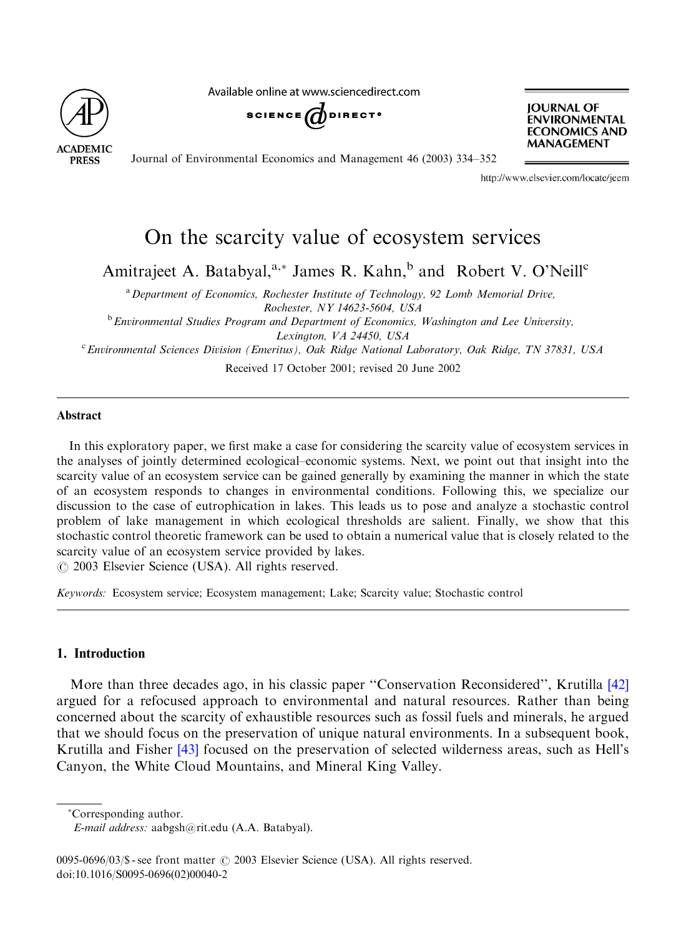

Available online at www.sciencedirect.com



**JOURNAL OF ENVIRONMENTAL ECONOMICS AND MANAGEMENT** 

Journal of Environmental Economics and Management 46 (2003) 334–352

http://www.elsevier.com/locate/jeem

# On the scarcity value of ecosystem services

Amitrajeet A. Batabyal, $a^*$  James R. Kahn, $b$  and Robert V. O'Neill<sup>c</sup>

<sup>a</sup> Department of Economics, Rochester Institute of Technology, 92 Lomb Memorial Drive,<br>Rochester, NY 14623-5604, USA  $B$  Environmental Studies Program and Department of Economics, Washington and Lee University, Lexington, VA 24450, USA<br>Environmental Sciences Division (Emeritus), Oak Ridge National Laboratory, Oak Ridge, TN 37831, USA<sup>c</sup>

Received 17 October 2001; revised 20 June 2002

#### Abstract

In this exploratory paper, we first make a case for considering the scarcity value of ecosystem services in the analyses of jointly determined ecological–economic systems. Next, we point out that insight into the scarcity value of an ecosystem service can be gained generally by examining the manner in which the state of an ecosystem responds to changes in environmental conditions. Following this, we specialize our discussion to the case of eutrophication in lakes. This leads us to pose and analyze a stochastic control problem of lake management in which ecological thresholds are salient. Finally, we show that this stochastic control theoretic framework can be used to obtain a numerical value that is closely related to the scarcity value of an ecosystem service provided by lakes.

 $\odot$  2003 Elsevier Science (USA). All rights reserved.

Keywords: Ecosystem service; Ecosystem management; Lake; Scarcity value; Stochastic control

# 1. Introduction

More than three decades ago, in his classic paper "Conservation Reconsidered", Krutilla [42] argued for a refocu[sed](#page-17-0) approach to environmental and natural resources. Rather than being concerned about the scarcity of exhaustible resources such as fossil fuels and minerals, he argued that we should focus on the preservation of unique natural environments. In a subsequent book, Krutilla and Fisher [43] focused on the preservation of selected wilderness areas, such as Hell's Canyon, the White Cloud Mountains, and Mineral King Valley.

Corresponding author.

E-mail address: aabgsh@rit.edu (A.A. Batabyal).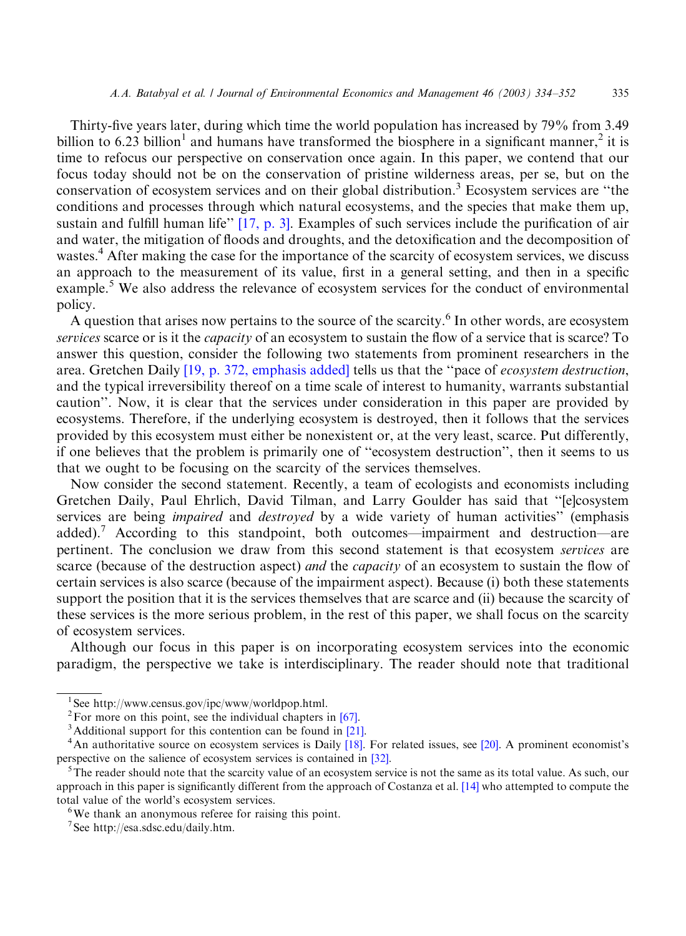Thirty-five years later, during which time the world population has increased by 79% from 3.49 billion to 6.23 billion<sup>1</sup> and humans have transformed the biosphere in a significant manner,<sup>2</sup> it is time to refocus our perspective on conservation once again. In this paper, we contend that our focus today should not be on [the cons](#page-16-0)ervation of pristine wilderness areas, per se, but on the conservation of ecosystem services and on their global distribution.<sup>3</sup> Ecosystem services are "the conditions and processes through which natural ecosystems, and the species that make them up, sustain and fulfill human life'' [17, p. 3]. Examples of such services include the purification of air and water, the mitigation of floods and droughts, and the detoxification and the decomposition of wastes.<sup>4</sup> After making the case for the importance of the scarcity of ecosystem services, we discuss an approach to the measurement of its value, first in a general setting, and then in a specific example.<sup>5</sup> We also address the relevance of ecosystem services for the conduct of environmental policy.

A question that ari[ses now pertains to the sourc](#page-16-0)e of the scarcity.<sup>6</sup> In other words, are ecosystem services scarce or is it the *capacity* of an ecosystem to sustain the flow of a service that is scarce? To answer this question, consider the following two statements from prominent researchers in the area. Gretchen Daily [19, p. 372, emphasis added] tells us that the "pace of *ecosystem destruction*, and the typical irreversibility thereof on a time scale of interest to humanity, warrants substantial caution''. Now, it is clear that the services under consideration in this paper are provided by ecosystems. Therefore, if the underlying ecosystem is destroyed, then it follows that the services provided by this ecosystem must either be nonexistent or, at the very least, scarce. Put differently, if one believes that the problem is primarily one of ''ecosystem destruction'', then it seems to us that we ought to be focusing on the scarcity of the services themselves.

Now consider the second statement. Recently, a team of ecologists and economists including Gretchen Daily, Paul Ehrlich, David Tilman, and Larry Goulder has said that ''[e]cosystem services are being *impaired* and *destroyed* by a wide variety of human activities" (emphasis added).<sup>7</sup> According to this standpoint, both outcomes—impairment and destruction—are pertinent. The conclusion we draw from this second statement is that ecosystem services are scarce (because of the destruction aspect) *and* the *capacity* of an ecosystem to sustain the flow of certain services is also scarce (because of the impairment aspect). Because (i) both these statements support the position that it is the services themselves that are scarce and (ii) because the scarcity of these services is the more serious problem, in the rest of this paper, we shall focus on the scarcity of ecosystem services.

Although our focus in this paper is on incorporating ecosystem services into the economic parad[igm,](*http://www.census.gov/ipc/www/worldpop.html) [the](*http://www.census.gov/ipc/www/worldpop.html) [perspective](*http://www.census.gov/ipc/www/worldpop.html) [we](*http://www.census.gov/ipc/www/worldpop.html) [take](*http://www.census.gov/ipc/www/worldpop.html) [is](*http://www.census.gov/ipc/www/worldpop.html) [interdis](*http://www.census.gov/ipc/www/worldpop.html)ci[plin](#page-18-0)ary. The reader should note that traditional

<sup>&</sup>lt;sup>1</sup>See http://www.census.gov/ipc/www/worldpop.html.<sup>2</sup> For more on this point, see the individual chapters in [67].

 $3$ Additional support for this contention can be found in [21].

 $4$ An authoritative source on ecosystem services is Daily [18]. For related issues, [see](#page-16-0) [20]. A prominent economist's perspective on the salience of ecosystem services is contained in [32].<br><sup>5</sup>The reader should note that the scarcity value of an ecosystem service is not the same as its total value. As such, our

approa[ch](*http://esa.sdsc.edu/daily.htm) [in](*http://esa.sdsc.edu/daily.htm) [this](*http://esa.sdsc.edu/daily.htm) [paper](*http://esa.sdsc.edu/daily.htm) [is](*http://esa.sdsc.edu/daily.htm) [significantly](*http://esa.sdsc.edu/daily.htm) different from the approach of Costanza et al. [14] who attempted to compute the total value of the world's ecosystem services.<br><sup>6</sup>We thank an anonymous referee for raising this point.

<sup>7</sup> See http://esa.sdsc.edu/daily.htm.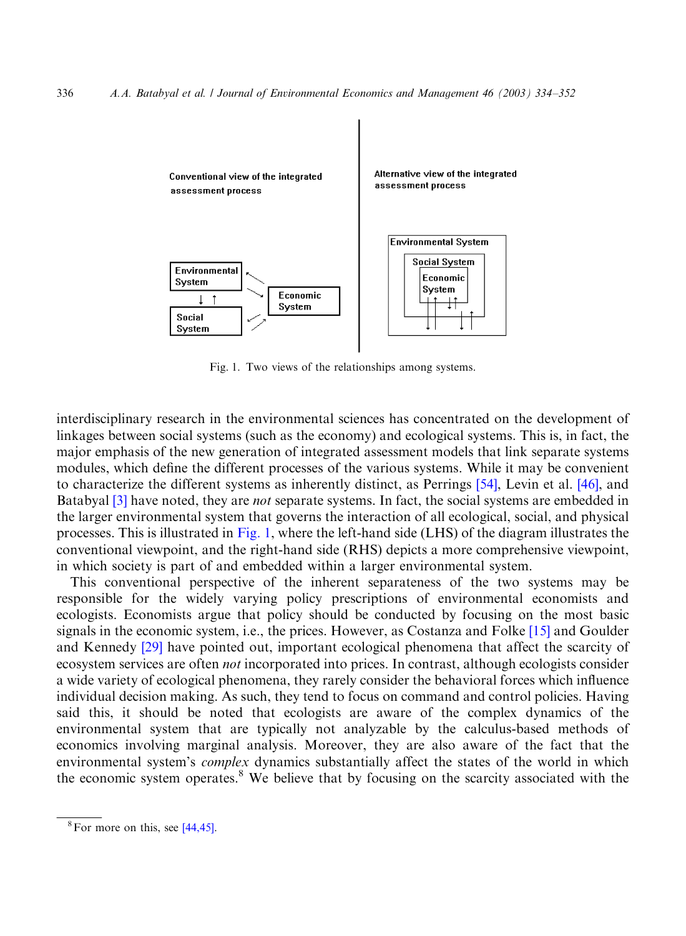#### 336 A.A. Batabyal et al. / Journal of Environmental Economics and Management 46 (2003) 334–352



Fig. 1. Two views of the relationships among systems.

interdisciplinary research in the environmental sciences has concentrated on the development of linkages between social systems (such as the economy) and ecological s[ystem](#page-18-0)s. This is, i[n fac](#page-17-0)t, the major em[ph](#page-16-0)asis of the new generation of integrated assessment models that link separate systems modules, which define the different processes of the various systems. While it may be convenient to characterize the different systems as inherently distinct, as Perrings [54], Levin et al. [46], and Batabyal [3] have noted, they are *not* separate systems. In fact, the social systems are embedded in the larger environmental system that governs the interaction of all ecological, social, and physical processes. This is illustrated in Fig. 1, where the left-hand side (LHS) of the diagram illustrates the conventional viewpoint, and the right-hand side (RHS) depicts a more comprehensive viewpoint, in which society is part of and embedded within a larger environmental system.

This conventional perspective of the inherent separateness of the two [syste](#page-16-0)ms may be responsible f[or t](#page-17-0)he widely varying policy prescriptions of environmental economists and ecologists. Economists argue that policy should be conducted by focusing on the most basic signals in the economic system, i.e., the prices. However, as Costanza and Folke [15] and Goulder and Kennedy [29] have pointed out, important ecological phenomena that affect the scarcity of ecosystem services are often not incorporated into prices. In contrast, although ecologists consider a wide variety of ecological phenomena, they rarely consider the behavioral forces which influence individual decision making. As such, they tend to focus on command and control policies. Having said this, it should be noted that ecologists are aware of the complex dynamics of the environmental system that are typically not analyzable by the calculus-based methods of economics involving marginal analysis. Moreover, they are also aware of the fact that the environmental system's *complex* dynamics substantially affect the states of the world in which the economic system [opera](#page-17-0)tes. $8$  We believe that by focusing on the scarcity associated with the

 $8$  For more on this, see  $[44, 45]$ .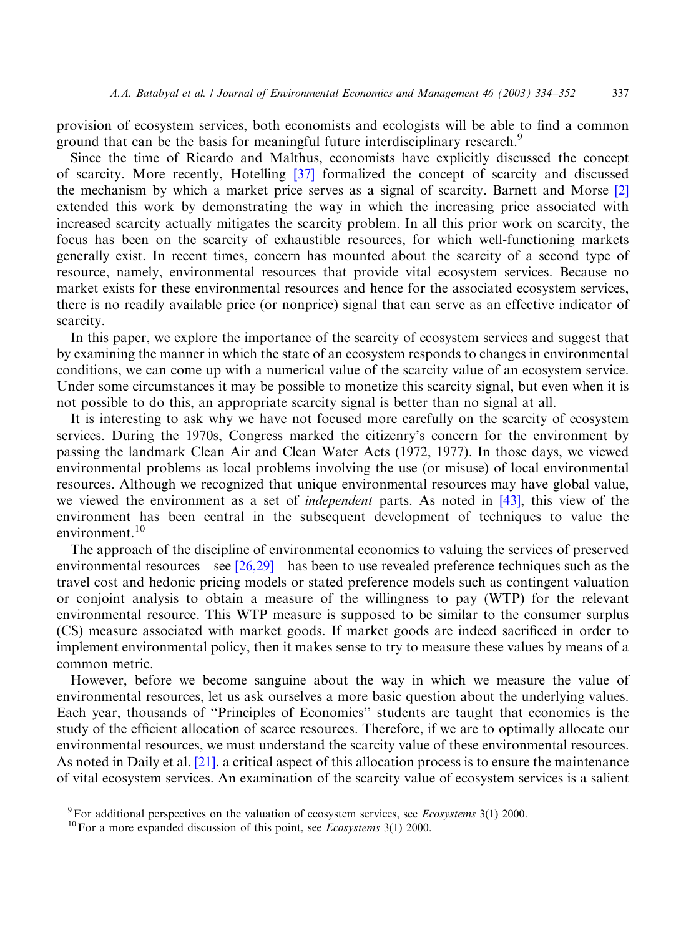provision of ecosystem services, both e[cono](#page-17-0)mists and ecologists will be able to find a common ground that can be the basis for meaningful future interdisciplinary research.<sup>9</sup>

Since the time of Ricardo and Malthus, economists have explicitly discussed the conc[ept](#page-16-0) of scarcity. More recently, Hotelling [37] formalized the concept of scarcity and discussed the mechanism by which a market price serves as a signal of scarcity. Barnett and Morse [2] extended this work by demonstrating the way in which the increasing price associated with increased scarcity actually mitigates the scarcity problem. In all this prior work on scarcity, the focus has been on the scarcity of exhaustible resources, for which well-functioning markets generally exist. In recent times, concern has mounted about the scarcity of a second type of resource, namely, environmental resources that provide vital ecosystem services. Because no market exists for these environmental resources and hence for the associated ecosystem services, there is no readily available price (or nonprice) signal that can serve as an effective indicator of scarcity.

In this paper, we explore the importance of the scarcity of ecosystem services and suggest that by examining the manner in which the state of an ecosystem responds to changes in environmental conditions, we can come up with a numerical value of the scarcity value of an ecosystem service. Under some circumstances it may be possible to monetize this scarcity signal, but even when it is not possible to do this, an appropriate scarcity signal is better than no signal at all.

It is interesting to ask why we have not focused more carefully on the scarcity of ecosystem services. During the 1970s, Congress marked the citizenry's concern for the environment by passing the landmark Clean Air and Clean Water Acts (1972, 1977). In [thos](#page-17-0)e days, we viewed environmental problems as local problems involving the use (or misuse) of local environmental resources. Although we recognized that unique environmental resources may have global value, we viewed the environment as a set of *independent* parts. As noted in [43], this view of the environment has been centr[al in t](#page-17-0)he subsequent development of techniques to value the environment.<sup>10</sup>

The approach of the discipline of environmental economics to valuing the services of preserved environmental resources—see [26,29]—has been to use revealed preference techniques such as the travel cost and hedonic pricing models or stated preference models such as contingent valuation or conjoint analysis to obtain a measure of the willingness to pay (WTP) for the relevant environmental resource. This WTP measure is supposed to be similar to the consumer surplus (CS) measure associated with market goods. If market goods are indeed sacrificed in order to implement environmental policy, then it makes sense to try to measure these values by means of a common metric.

However, before we become sanguine about the way in which we measure the value of environmental resources, let us ask ourselves a more basic question about the underlying values. Each year, thousands [of ''](#page-16-0)Principles of Economics'' students are taught that economics is the study of the efficient allocation of scarce resources. Therefore, if we are to optimally allocate our environmental resources, we must understand the scarcity value of these environmental resources. As noted in Daily et al. [21], a critical aspect of this allocation process is to ensure the maintenance of vital ecosystem services. An examination of the scarcity value of ecosystem services is a salient

<sup>&</sup>lt;sup>9</sup>For additional perspectives on the valuation of ecosystem services, see *Ecosystems* 3(1) 2000. <sup>10</sup>For a more expanded discussion of this point, see *Ecosystems* 3(1) 2000.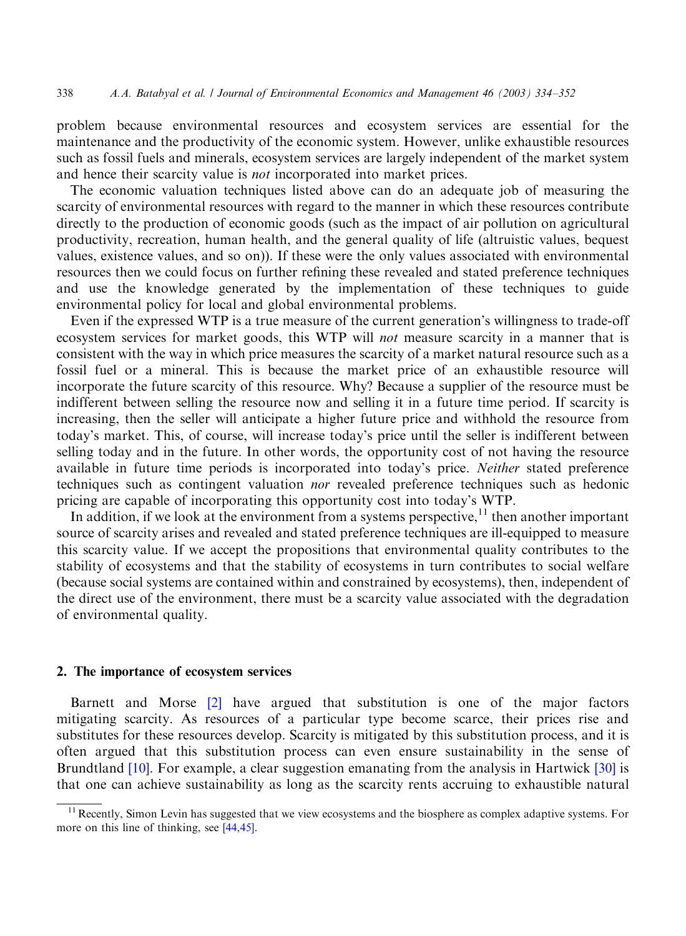problem because environmental resources and ecosystem services are essential for the maintenance and the productivity of the economic system. However, unlike exhaustible resources such as fossil fuels and minerals, ecosystem services are largely independent of the market system and hence their scarcity value is not incorporated into market prices.

The economic valuation techniques listed above can do an adequate job of measuring the scarcity of environmental resources with regard to the manner in which these resources contribute directly to the production of economic goods (such as the impact of air pollution on agricultural productivity, recreation, human health, and the general quality of life (altruistic values, bequest values, existence values, and so on)). If these were the only values associated with environmental resources then we could focus on further refining these revealed and stated preference techniques and use the knowledge generated by the implementation of these techniques to guide environmental policy for local and global environmental problems.

Even if the expressed WTP is a true measure of the current generation's willingness to trade-off ecosystem services for market goods, this WTP will *not* measure scarcity in a manner that is consistent with the way in which price measures the scarcity of a market natural resource such as a fossil fuel or a mineral. This is because the market price of an exhaustible resource will incorporate the future scarcity of this resource. Why? Because a supplier of the resource must be indifferent between selling the resource now and selling it in a future time period. If scarcity is increasing, then the seller will anticipate a higher future price and withhold the resource from today's market. This, of course, will increase today's price until the seller is indifferent between selling today and in the future. In other words, the opportunity cost of not having the resource available in future time periods is incorporated into today's price. Neither stated preference techniques such as contingent valuation nor revealed preference techniques such as hedonic pricing are capable of incorporating this opportunity cost into today's WTP.

In addition, if we look at the environment from a systems perspective,  $\frac{1}{1}$  then another important source of scarcity arises and revealed and stated preference techniques are ill-equipped to measure this scarcity value. If we accept the propositions that environmental quality contributes to the stability of ecosystems and that the stability of ecosystems in turn contributes to social welfare (because social systems are contained within and constrained by ecosystems), then, independent of the direct use of the environment, there must be a scarcity value associated with the degradation of environmental quality.

#### 2. The importance of ecosystem services

Barnett and Morse [2] have argued that substitution is one of the major factors mitigating [scarc](#page-16-0)ity. As resources of a particular type become scarce, their prices ris[e an](#page-17-0)d substitutes for these resources develop. Scarcity is mitigated by this substitution process, and it is often argued that this substitution process can even ensure sustainability in the sense of Brundtland [10]. For example, a clear suggestion emanating from the analysis in Hartwick [30] is that one can achieve sustai[nabilit](#page-17-0)y as long as the scarcity rents accruing to exhaustible natural

 $<sup>11</sup>$  Recently, Simon Levin has suggested that we view ecosystems and the biosphere as complex adaptive systems. For</sup> more on this line of thinking, see [44,45].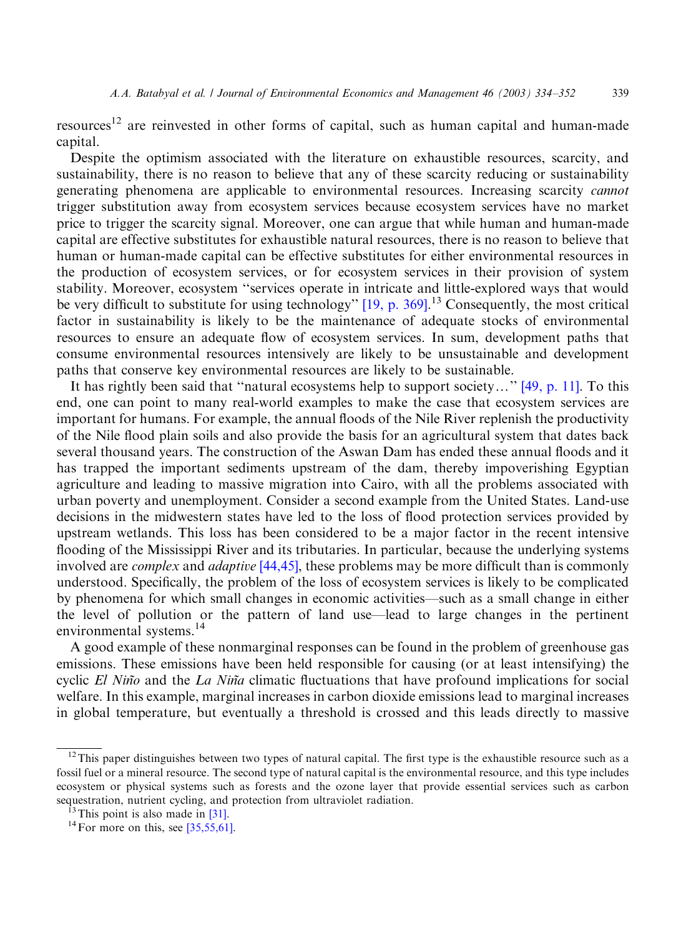resources<sup>12</sup> are reinvested in other forms of capital, such as human capital and human-made capital.

Despite the optimism associated with the literature on exhaustible resources, scarcity, and sustainability, there is no reason to believe that any of these scarcity reducing or sustainability generating phenomena are applicable to environmental resources. Increasing scarcity cannot trigger substitution away from ecosystem services because ecosystem services have no market price to trigger the scarcity signal. Moreover, one can argue that while human and human-made capital are effective substitutes for exhaustible natural resources, there is no reason to believe that human or human-made capital can be effective sub[stitutes for](#page-16-0) either environmental resources in the production of ecosystem services, or for ecosystem services in their provision of system stability. Moreover, ecosystem ''services operate in intricate and little-explored ways that would be very difficult to substitute for using technology" [19, p. 369].<sup>13</sup> Consequently, the most critical factor in sustainability is likely to be the maintenance of adequate stocks of environmental resources to ensure an adequate flow of ecosystem services. In sum, devel[opment pa](#page-17-0)ths that consume environmental resources intensively are likely to be unsustainable and development paths that conserve key environmental resources are likely to be sustainable.

It has rightly been said that "natural ecosystems help to support society..."  $[49, p. 11]$ . To this end, one can point to many real-world examples to make the case that ecosystem services are important for humans. For example, the annual floods of the Nile River replenish the productivity of the Nile flood plain soils and also provide the basis for an agricultural system that dates back several thousand years. The construction of the Aswan Dam has ended these annual floods and it has trapped the important sediments upstream of the dam, thereby impoverishing Egyptian agriculture and leading to massive migration into Cairo, with all the problems associated with urban poverty and unemployment. Consider a second example from the United States. Land-use decisions in the midwestern state[s have l](#page-17-0)ed to the loss of flood protection services provided by upstream wetlands. This loss has been considered to be a major factor in the recent intensive flooding of the Mississippi River and its tributaries. In particular, because the underlying systems involved are *complex* and *adaptive* [44,45], these problems may be more difficult than is commonly understood. Specifically, the problem of the loss of ecosystem services is likely to be complicated by phenomena for which small changes in economic activities—such as a small change in either the level of pollution or the pattern of land use—lead to large changes in the pertinent environmental systems.<sup>14</sup>

Agood example of these nonmarginal responses can be found in the problem of greenhouse gas emissions. These emissions have been held responsible for causing (or at least intensifying) the cyclic El Niño and the La Niña climatic fluctuations that have profound implications for social welfare. In this example, marginal increases in carbon dioxide emissions lead to marginal increases in global temperature, but eventually a threshold is crossed and this leads directly to massive

 $12$ This paper distinguishes between two types of natural capital. The first type is the exhaustible resource such as a fossil fuel or a mineral resource[.](#page-17-0) [The](#page-17-0) second type of natural capital is the environmental resource, and this type includes ecosystem or physical sys[tems](#page-17-0) [such](#page-17-0) as forests and the ozone layer that provide essential services such as carbon sequestration, nutrient cycling, and protection from ultraviolet radiation.<br><sup>13</sup>This point is also made in [31].<br><sup>14</sup>For more on this, see [35,55,61].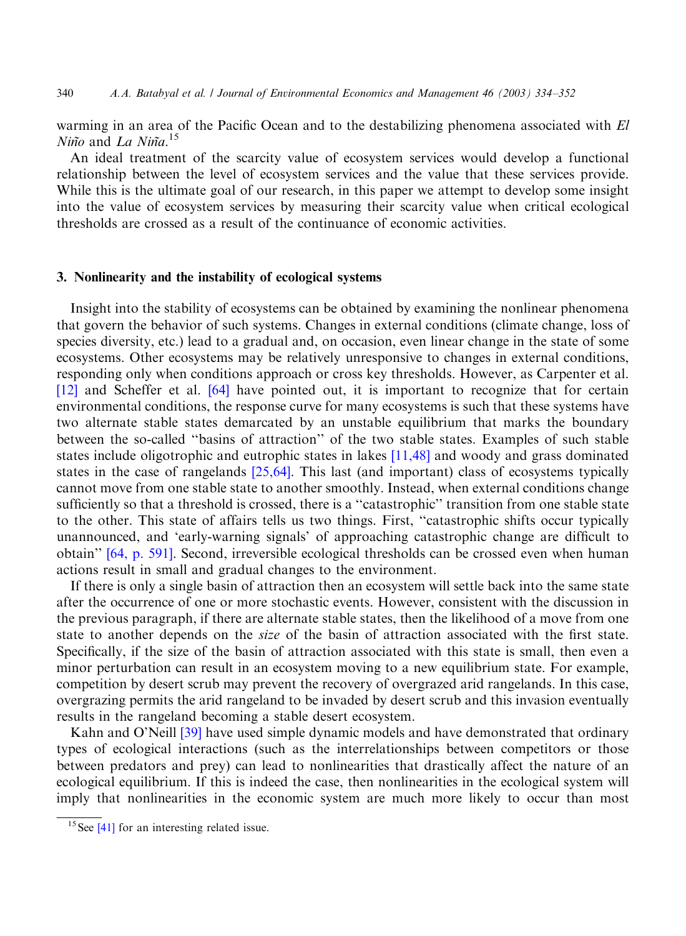warming in an area of the Pacific Ocean and to the destabilizing phenomena associated with El Niño and La Niña.<sup>15</sup>

An ideal treatment of the scarcity value of ecosystem services would develop a functional relationship between the level of ecosystem services and the value that these services provide. While this is the ultimate goal of our research, in this paper we attempt to develop some insight into the value of ecosystem services by measuring their scarcity value when critical ecological thresholds are crossed as a result of the continuance of economic activities.

#### 3. Nonlinearity and the instability of ecological systems

Insight into the stability of ecosystems can be obtained by examining the nonlinear phenomena that govern the behavior of such systems. Changes in external conditions (climate change, loss of [spec](#page-16-0)ies diversity, etc.) lea[d to](#page-18-0) a gradual and, on occasion, even linear change in the state of some ecosystems. Other ecosystems may be relatively unresponsive to changes in external conditions, responding only when conditions approach or cross key thresholds. However, as Carpenter et al. [12] and Scheffer et al. [64] have pointed out, it is important to recognize that for certain environmental conditions, the response curve for many e[cosyste](#page-16-0)ms is such that these systems have two alternate stable states dem[arcated](#page-16-0) by an unstable equilibrium that marks the boundary between the so-called ''basins of attraction'' of the two stable states. Examples of such stable states include oligotrophic and eutrophic states in lakes [11,48] and woody and grass dominated states in the case of rangelands [25,64]. This last (and important) class of ecosystems typically cannot move from one stable state to another smoothly. Instead, when external conditions change sufficien[tly so that a](#page-18-0) threshold is crossed, there is a ''catastrophic'' transition from one stable state to the other. This state of affairs tells us two things. First, ''catastrophic shifts occur typically unannounced, and 'early-warning signals' of approaching catastrophic change are difficult to obtain'' [64, p. 591]. Second, irreversible ecological thresholds can be crossed even when human actions result in small and gradual changes to the environment.

If there is only a single basin of attraction then an ecosystem will settle back into the same state after the occurrence of one or more stochastic events. However, consistent with the discussion in the previous paragraph, if there are alternate stable states, then the likelihood of a move from one state to another depends on the size of the basin of attraction associated with the first state. Specifically, if the size of the basin of attraction associated with this state is small, then even a minor perturbation can result in an ecosystem moving to a new equilibrium state. For example, competition by deser[t scr](#page-17-0)ub may prevent the recovery of overgrazed arid rangelands. In this case, overgrazing permits the arid rangeland to be invaded by desert scrub and this invasion eventually results in the rangeland becoming a stable desert ecosystem.

Kahn and O'Neill [39] have used simple dynamic models and have demonstrated that ordinary types of ecological interactions (such as the interrelationships between competitors or those between predators and prey) can lead to nonlinearities that drastically affect the nature of an ecolog[ical](#page-17-0) equilibrium. If this is indeed the case, then nonlinearities in the ecological system will imply that nonlinearities in the economic system are much more likely to occur than most

<sup>&</sup>lt;sup>15</sup> See  $[41]$  for an interesting related issue.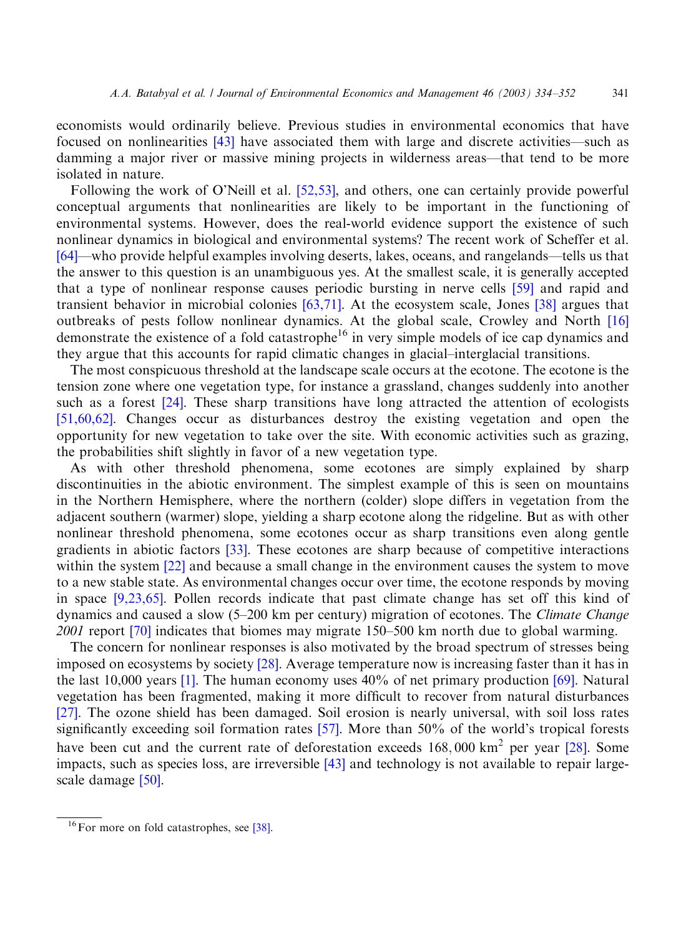economists would ordinarily believe. Previous studies in environmental economics that have focused on nonlinearities [43] have ass[ociated](#page-17-0) them with large and discrete activities—such as damming a major river or massive mining projects in wilderness areas—that tend to be more isolated in nature.

Following the work of O'Neill et al. [52,53], and others, one can certainly provide powerful [conc](#page-18-0)eptual arguments that nonlinearities are likely to be important in the functioning of environmental systems. However, does the real-world evidence support the existence of such nonlinear dynamics in biological and environmental systems? The recent wo[rk o](#page-18-0)f Scheffer et al. [64]—who provide helpful examples invol[ving de](#page-18-0)serts, lakes, oceans, and rangelan[ds—](#page-17-0)tells us that the answer to this question is an unambiguous yes. At the smallest scale, it is generally acce[pted](#page-16-0) that a type of nonlinear response causes periodic bursting in nerve cells [59] and rapid and transient behavior in microbial colonies [63,71]. At the ecosystem scale, Jones [38] argues that outbreaks of pests follow nonlinear dynamics. At the global scale, Crowley and North [16] demonstrate the existence of a fold catastrophe<sup>16</sup> in very simple models of ice cap dynamics and they argue that t[his a](#page-16-0)ccounts for rapid climatic changes in glacial–interglacial transitions.

[The mo](#page-17-0)st conspicuous threshold at the landscape scale occurs at the ecotone. The ecotone is the tension zone where one vegetation type, for instance a grassland, changes suddenly into another such as a forest [24]. These sharp transitions have long attracted the attention of ecologists [51,60,62]. Changes occur as disturbances destroy the existing vegetation and open the opportunity for new vegetation to take over the site. With economic activities such as grazing, the probabilities shift slightly in favor of a new vegetation type.

As with other threshold phenomena, some ecotones are simply explained by sharp discontinuities in the abiotic environment. The simplest example of this is seen on mountains in the Northern Hemispher[e, w](#page-17-0)here the northern (colder) slope differs in vegetation from the adjacent southern [\(wa](#page-16-0)rmer) slope, yielding a sharp ecotone along the ridgeline. But as with other nonlinear threshold phenomena, some ecotones occur as sharp transitions even along gentle gradients [in abiot](#page-16-0)ic factors [33]. These ecotones are sharp because of competitive interactions within the system [22] and because a small change in the environment causes the system to move to a new sta[ble s](#page-18-0)tate. As environmental changes occur over time, the ecotone responds by moving in space [9,23,65]. Pollen records indicate that past climate change has set off this kind of dynamics and caused a slow (5–2[00 k](#page-17-0)m per century) migration of ecotones. The Climate Change 2001 report [70] indi[cat](#page-16-0)es that biomes may migrate 150–500 km north due to glob[al wa](#page-18-0)rming.

The concern for nonlinear responses is also motivated by the broad spectrum of stresses being [imp](#page-17-0)osed on ecosystems by society [28]. Average temperature now is increasing faster than it has in the last 10,000 years [1]. The human econo[my u](#page-18-0)ses 40% of net primary production [69]. Natural vegetation has been fragmented, making it more difficult to recover from natural d[istur](#page-17-0)bances [27]. The ozone shield has been damaged. [Soil](#page-17-0) erosion is nearly universal, with soil loss rates significantly e[xcee](#page-17-0)ding soil formation rates [57]. More than 50% of the world's tropical forests have been cut and the current rate of deforestation exceeds  $168,000 \text{ km}^2$  per year  $[28]$ . Some impacts, such as species loss, are irreversible [43] and technology is not available to repair largescale damage [50].

<sup>&</sup>lt;sup>16</sup>For more on fold catastrophes, see [38].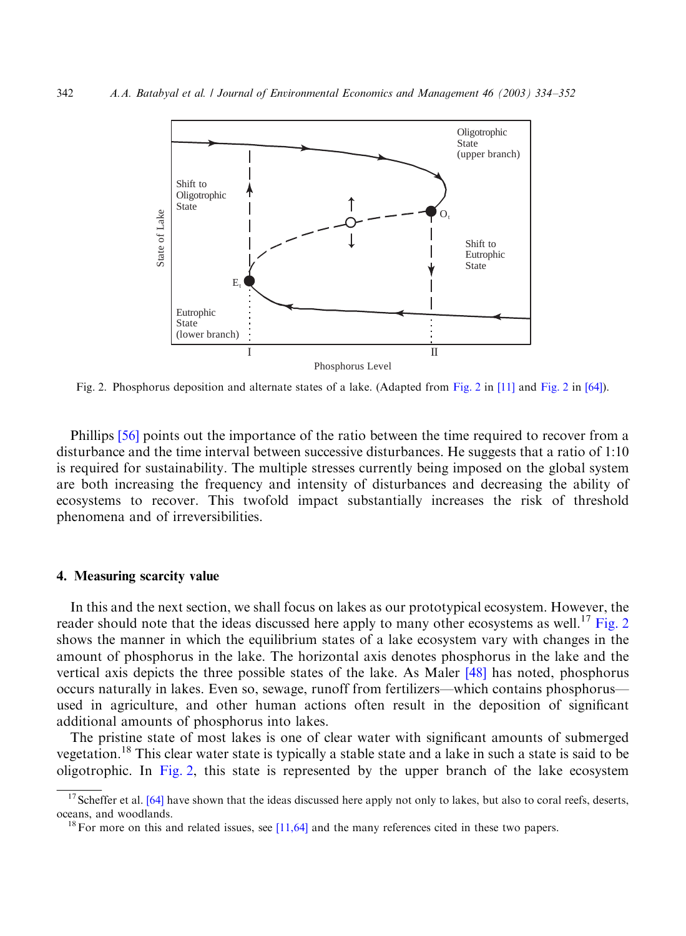<span id="page-8-0"></span>

Fig. 2. [Phosp](#page-18-0)horus deposition and alternate states of a lake. (Adapted from Fig. 2 in [11] and Fig. 2 in [64]).

Phillips [56] points out the importance of the ratio between the time required to recover from a disturbance and the time interval between successive disturbances. He suggests that a ratio of 1:10 is required for sustainability. The multiple stresses currently being imposed on the global system are both increasing the frequency and intensity of disturbances and decreasing the ability of ecosystems to recover. This twofold impact substantially increases the risk of threshold phenomena and of irreversibilities.

## 4. Measuring scarcity value

In this and the next section, we shall focus on lakes as our prototypical ecosystem. However, the reader should note that the ideas discussed here apply to many other [eco](#page-17-0)systems as well.<sup>17</sup> Fig. 2 shows the manner in which the equilibrium states of a lake ecosystem vary with changes in the amount of phosphorus in the lake. The horizontal axis denotes phosphorus in the lake and the vertical axis depicts the three possible states of the lake. As Maler [48] has noted, phosphorus occurs naturally in lakes. Even so, sewage, runoff from fertilizers—which contains phosphorus used in agriculture, and other human actions often result in the deposition of significant additional amounts of phosphorus into lakes.

The pristine state of most lakes is one of clear water with significant amounts of submerged vegetation.18 T[his](#page-18-0) clear water state is typically a stable state and a lake in such a state is said to be oligotrophic. In Fig. 2, this state is [repre](#page-16-0)sented by the upper branch of the lake ecosystem

<sup>&</sup>lt;sup>17</sup> Scheffer et al. [64] have shown that the ideas discussed here apply not only to lakes, but also to coral reefs, deserts, oceans, and woodlands.<br><sup>18</sup>For more on this and related issues, see [11,64] and the many references cited in these two papers.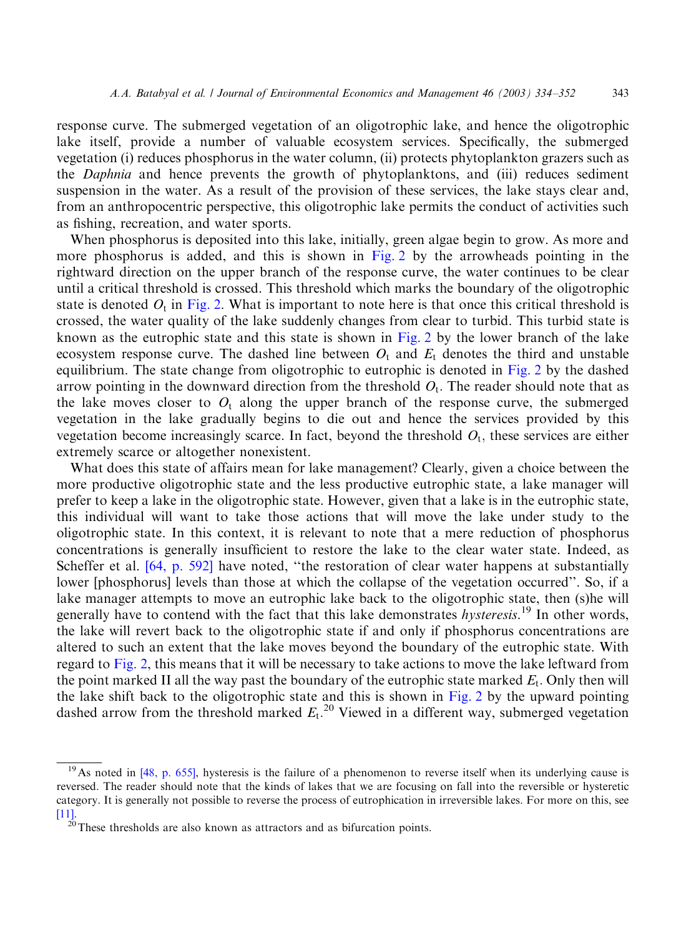response curve. The submerged vegetation of an oligotrophic lake, and hence the oligotrophic lake itself, provide a number of valuable ecosystem services. Specifically, the submerged vegetation (i) reduces phosphorus in the water column, (ii) protects phytoplankton grazers such as the Daphnia and hence prevents the growth of phytoplanktons, and (iii) reduces sediment suspension in the water. As a result of the provision of these services, the lake stays clear and, from an anthropocentric perspective, this oligotrophi[c lake](#page-8-0) permits the conduct of activities such as fishing, recreation, and water sports.

When phosphorus is deposited into this lake, initially, green algae begin to grow. As more and more phosphorus is [added](#page-8-0), and this is shown in Fig. 2 by the arrowheads pointing in the rightward direction on the upper branch of the response curve, the water continues to be clear until a critical threshold is crossed. This threshold which [marks](#page-8-0) the boundary of the oligotrophic state is denoted  $O_t$  in Fig. 2. What is important to note here is that once this critical threshold is crossed, the water quality of the lake suddenly changes from clear to turbi[d. This](#page-8-0) turbid state is known as the eutrophic state and this state is shown in Fig. 2 by the lower branch of the lake ecosystem response curve. The dashed line between  $O_t$  and  $E_t$  denotes the third and unstable equilibrium. The state change from oligotrophic to eutrophic is denoted in Fig. 2 by the dashed arrow pointing in the downward direction from the threshold  $O_t$ . The reader should note that as the lake moves closer to  $O_t$  along the upper branch of the response curve, the submerged vegetation in the lake gradually begins to die out and hence the services provided by this vegetation become increasingly scarce. In fact, beyond the threshold  $O_t$ , these services are either extremely scarce or altogether nonexistent.

What does this state of affairs mean for lake management? Clearly, given a choice between the more productive oligotrophic state and the less productive eutrophic state, a lake manager will prefer to keep a lake in the oligotrophic state. However, given that a lake is in the eutrophic state, this individual [will want](#page-18-0) to take those actions that will move the lake under study to the oligotrophic state. In this context, it is relevant to note that a mere reduction of phosphorus concentrations is generally insufficient to restore the lake to the clear water state. Indeed, as Scheffer et al. [64, p. 592] have noted, ''the restoration of clear water happens at substantially lower [phosphorus] levels than those at which the collapse of the vegetation occurred''. So, if a lake manager attempts to move an eutrophic lake back to the oligotrophic state, then (s)he will generally [have t](#page-8-0)o contend with the fact that this lake demonstrates hysteresis.<sup>19</sup> In other words, the lake will revert back to the oligotrophic state if and only if phosphorus concentrations are altered to such an extent that the lake moves beyond the bounda[ry of t](#page-8-0)he eutrophic state. With regard to Fig. 2, this means that it will be necessary to take actions to move the lake leftward from the point marked II all the way past the boundary of the eutrophic state marked  $E_t$ . Only then will the lake shift back to the oligotrophic state and this is shown in Fig. 2 by the upward pointing dashed arrow from the threshold marked  $E_t$ .<sup>20</sup> Viewed in a different way, submerged vegetation

 $19$ As noted in [48, p. 655], hysteresis is the failure of a phenomenon to reverse itself when its underlying cause is reversed. The reader should note that the kinds of lakes that we are focusing on fall into the reversible or hysteretic category. It is generally not possible to reverse the process of eutrophication in irreversible lakes. For more on this, see [11].

 $20$ <sup>20</sup>These thresholds are also known as attractors and as bifurcation points.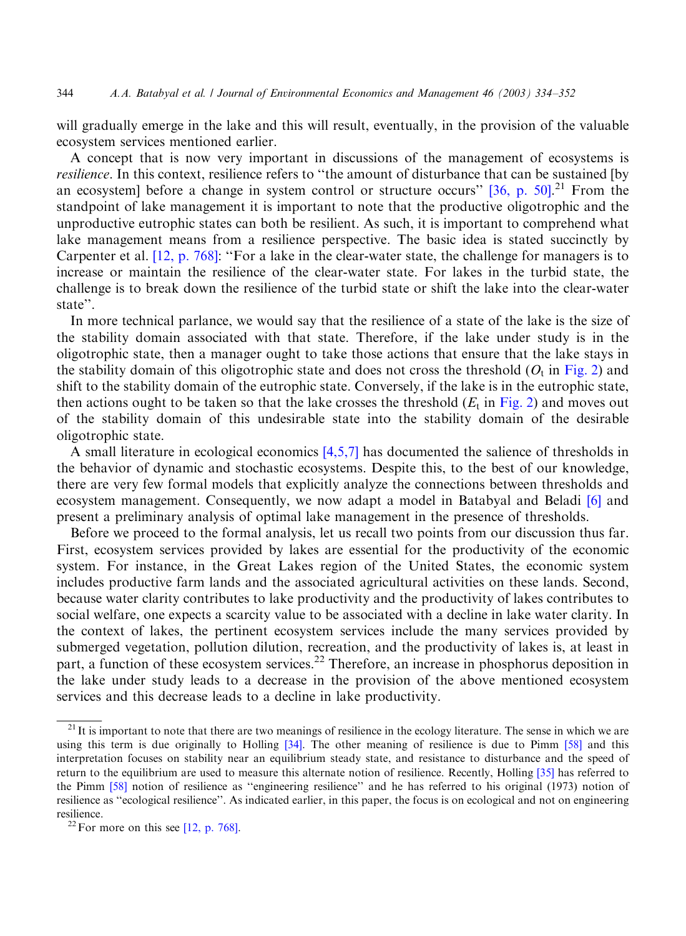will gradually emerge in the lake and this will result, eventually, in the provision of the valuable ecosystem services mentioned earlier.

Aconcept that is now very important in discussions of the manag[ement](#page-17-0) [of](#page-17-0) [e](#page-17-0)cosystems is resilience. In this context, resilience refers to ''the amount of disturbance that can be sustained [by an ecosystem] before a change in system control or structure occurs" [36, p. 50].<sup>21</sup> From the standpoint of la[ke managem](#page-16-0)ent it is important to note that the productive oligotrophic and the unproductive eutrophic states can both be resilient. As such, it is important to comprehend what lake management means from a resilience perspective. The basic idea is stated succinctly by Carpenter et al. [12, p. 768]: ''For a lake in the clear-water state, the challenge for managers is to increase or maintain the resilience of the clear-water state. For lakes in the turbid state, the challenge is to break down the resilience of the turbid state or shift the lake into the clear-water state''.

In more technical parlance, we would say that the resilience of a state of the lake i[s the si](#page-8-0)ze of the stability domain associated with that state. Therefore, if the lake under study is in the oligotrophic state, then a manager ought to take those actions that ensur[e that t](#page-8-0)he lake stays in the stability domain of this oligotrophic state and does not cross the threshold  $(O_t$  in Fig. 2) and shift to the stability domain of the eutrophic state. Conversely, if the lake is in the eutrophic state, then actions ought to be taken so that the la[ke cros](#page-16-0)ses the threshold  $(E_t$  in Fig. 2) and moves out of the stability domain of this undesirable state into the stability domain of the desirable oligotrophic state.

A small literature in ecological economics  $[4,5,7]$  has documented the salience of thres[hold](#page-16-0)s in the behavior of dynamic and stochastic ecosystems. Despite this, to the best of our knowledge, there are very few formal models that explicitly analyze the connections between thresholds and ecosystem management. Consequently, we now adapt a model in Batabyal and Beladi [6] and present a preliminary analysis of optimal lake management in the presence of thresholds.

Before we proceed to the formal analysis, let us recall two points from our discussion thus far. First, ecosystem services provided by lakes are essential for the productivity of the economic system. For instance, in the Great Lakes region of the United States, the economic system includes productive farm lands and the associated agricultural activities on these lands. Second, because water clarity contributes to lake productivity and the productivity of lakes contributes to social welfare, one expects a scarcity value to be associated with a decline in lake water clarity. In the context of lakes, the pertinent ecosystem services include the many services provided by submerged vegetation, pollution dilution, recreation, and the productivity of lakes is, at least in part, a function of these ecosystem services.<sup>22</sup> Therefore, an increase in phosphorus deposition in the lake under study leads to a decrease in the provision of the above mentioned ecosystem services and this decrease leads to a d[eclin](#page-17-0)e in lake productivity.

 $21$  It is important to note that there are two meanings of resilience in the ecology literature. The se[nse](#page-17-0) [i](#page-17-0)n which we are using this [term](#page-18-0) is due originally to Holling [34]. The other meaning of resilience is due to Pimm [58] and this interpretation focuses on stability near an equilibrium steady state, and resistance to disturbance and the speed of return to the equilibrium are used to measure this alternate notion of resilience. Recently, Holling [35] has referred to the Pimm [58] notion of [resilience](#page-16-0) [as](#page-16-0) ''engineering resilience'' and he has referred to his original (1973) notion of resilience as ''ecological resilience''. As indicated earlier, in this paper, the focus is on ecological and not on engineering resilience.<br><sup>22</sup>For more on this see  $[12, p. 768]$ .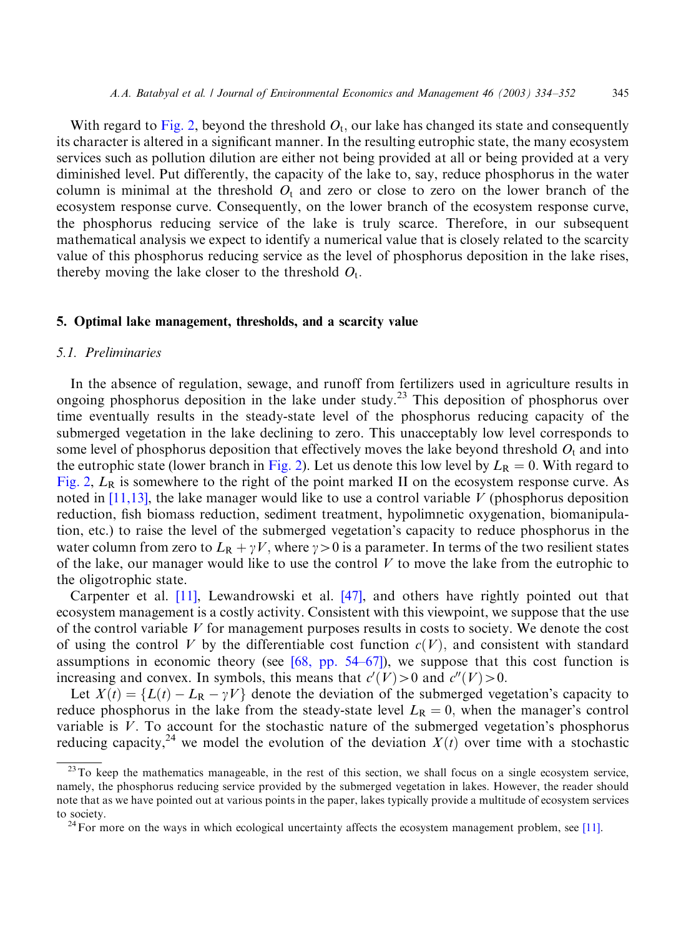With regard to Fig. 2, beyond the threshold  $O<sub>t</sub>$ , our lake has changed its state and consequently its character is altered in a significant manner. In the resulting eutrophic state, the many ecosystem services such as pollution dilution are either not being provided at all or being provided at a very diminished level. Put differently, the capacity of the lake to, say, reduce phosphorus in the water column is minimal at the threshold  $O<sub>t</sub>$  and zero or close to zero on the lower branch of the ecosystem response curve. Consequently, on the lower branch of the ecosystem response curve, the phosphorus reducing service of the lake is truly scarce. Therefore, in our subsequent mathematical analysis we expect to identify a numerical value that is closely related to the scarcity value of this phosphorus reducing service as the level of phosphorus deposition in the lake rises, thereby moving the lake closer to the threshold  $O_t$ .

#### 5. Optimal lake management, thresholds, and a scarcity value

## 5.1. Preliminaries

In the absence of regulation, sewage, and runoff from fertilizers used in agriculture results in ongoing phosphorus deposition in the lake under study.23 This deposition of phosphorus over time eventually results in the ste[ady-sta](#page-8-0)te level of the phosphorus reducing capacity of the [subme](#page-8-0)rged vegetation in the lake declining to zero. This unacceptably low level corresponds to some lev[el of ph](#page-16-0)osphorus deposition that effectively moves the lake beyond threshold  $O_t$  and into the eutrophic state (lower branch in Fig. 2). Let us denote this low level by  $L_R = 0$ . With regard to Fig. 2,  $L_R$  is somewhere to the right of the point marked II on the ecosystem response curve. As noted in  $[11,13]$ , the lake manager would like to use a control variable V (phosphorus deposition reduction, fish biomass reduction, sediment treatment, hypolimnetic oxygenation, biomanipulation, etc.) to raise the level of the submerged vegetation's capacity to reduce phosphorus in the water column from [zero](#page-16-0) to  $L_{\rm R} + \gamma V$ , where  $\gamma > 0$  [is a](#page-17-0) parameter. In terms of the two resilient states of the lake, our manager would like to use the control  $V$  to move the lake from the eutrophic to the oligotrophic state.

Carpenter et al. [11], Lewandrowski et al. [47], and others have rightly pointed out that ecosystem management is a costly activi[ty. Consistent w](#page-18-0)ith this viewpoint, we suppose that the use of the control variable V for management purposes results in costs to society. We denote the cost of using the control V by the differentiable cost function  $c(V)$ , and consistent with standard assumptions in economic theory (see  $[68, pp. 54–67]$ ), we suppose that this cost function is increasing and convex. In symbols, this means that  $c'(V) > 0$  and  $c''(V) > 0$ .

Let  $X(t) = \{L(t) - L_R - \gamma V\}$  denote the deviation of the submerged vegetation's capacity to reduce phosphorus in the lake from the steady-state level  $L_R = 0$ , when the manager's control variable is  $V$ . To account for the stochastic nature of the submerged vegetation's phosphorus reducing capacity,<sup>24</sup> we model the evolution of the deviation  $X(t)$  over time with a stochastic

 $23$ To keep the mathematics manageable, in the rest of this section, we shall focus on a single ecosystem service, namely, the phosphorus reducing service provided by the submerged vegetation in lakes. However, the rea[der](#page-16-0) [s](#page-16-0)hould note that as we have pointed out at various points in the paper, lakes typically provide a multitude of ecosystem services to society.<br><sup>24</sup>For more on the ways in which ecological uncertainty affects the ecosystem management problem, see [11].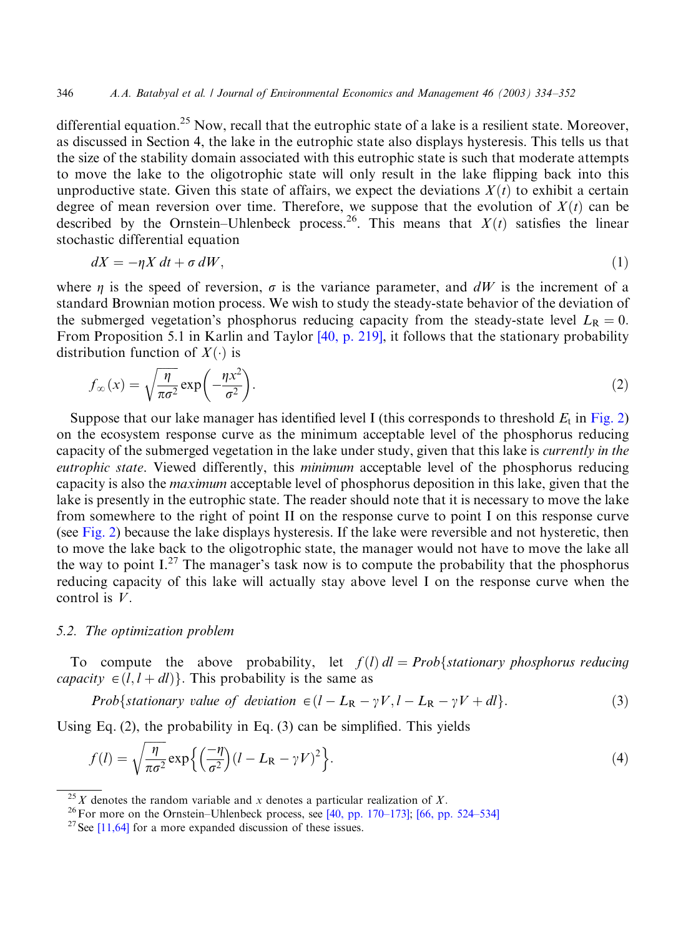#### 346 A.A. Batabyal et al. / Journal of Environmental Economics and Management 46 (2003) 334–352

differential equation.<sup>25</sup> Now, recall that the eutrophic state of a lake is a resilient state. Moreover, as discussed in Section 4, the lake in the eutrophic state also displays hysteresis. This tells us that the size of the stability domain associated with this eutrophic state is such that moderate attempts to move the lake to the oligotrophic state will only result in the lake flipping back into this unproductive state. Given this state of affairs, we expect the deviations  $X(t)$  to exhibit a certain degree of mean reversion over time. Therefore, we suppose that the evolution of  $X(t)$  can be described by the Ornstein–Uhlenbeck process.<sup>26</sup>. This means that  $X(t)$  satisfies the linear stochastic differential equation

$$
dX = -\eta X \, dt + \sigma \, dW,\tag{1}
$$

where  $\eta$  is the speed of reversion,  $\sigma$  is the [variance p](#page-17-0)arameter, and  $dW$  is the increment of a standard Brownian motion process. We wish to study the steady-state behavior of the deviation of the submerged vegetation's phosphorus reducing capacity from the steady-state level  $L_R = 0$ . From Proposition 5.1 in Karlin and Taylor [40, p. 219], it follows that the stationary probability distribution function of  $X(\cdot)$  is

$$
f_{\infty}(x) = \sqrt{\frac{\eta}{\pi \sigma^2}} \exp\left(-\frac{\eta x^2}{\sigma^2}\right).
$$
 (2)

Suppose that our lake manager has identified level I (this corresponds to threshold  $E_t$  in Fig. 2) on the ecosystem response curve as the minimum acceptable level of the phosphorus reducing capacity of the submerged vegetation in the lake under study, given that this lake is currently in the eutrophic state. Viewed differently, this minimum acceptable level of the phosphorus reducing cap[acity is](#page-8-0) also the *maximum* acceptable level of phosphorus deposition in this lake, given that the lake is presently in the eutrophic state. The reader should note that it is necessary to move the lake from somewhere to the right of point II on the response curve to point I on this response curve (see Fig. 2) because the lake displays hysteresis. If the lake were reversible and not hysteretic, then to move the lake back to the oligotrophic state, the manager would not have to move the lake all the way to point  $I^{27}$ . The manager's task now is to compute the probability that the phosphorus reducing capacity of this lake will actually stay above level I on the response curve when the control is  $V$ .

# 5.2. The optimization problem

To compute the above probability, let  $f(l)$  dl = Prob{stationary phosphorus reducing capacity  $\in (l, l + dl)$ . This probability is the same as

Prob{stationary value of deviation  $\epsilon (l - L_R - \gamma V, l - L_R - \gamma V + dl)$ . (3)

Using Eq. (2), the probability in Eq. (3) can be simplified. This yields

$$
f(l) = \sqrt{\frac{\eta}{\pi \sigma^2}} \exp\left\{ \left( \frac{-\eta}{\sigma^2} \right) (l - L_{\rm R} - \gamma V)^2 \right\}.
$$
 (4)

<sup>&</sup>lt;sup>25</sup> *X* denotes the random variable and *x* denotes a particular realization of *X*.<br><sup>26</sup> For more on the Ornstein–Uhlenbeck process, see [40, pp. 170–173]; [66, pp. 524–534]<br><sup>27</sup> See [11,64] for a more expanded discussi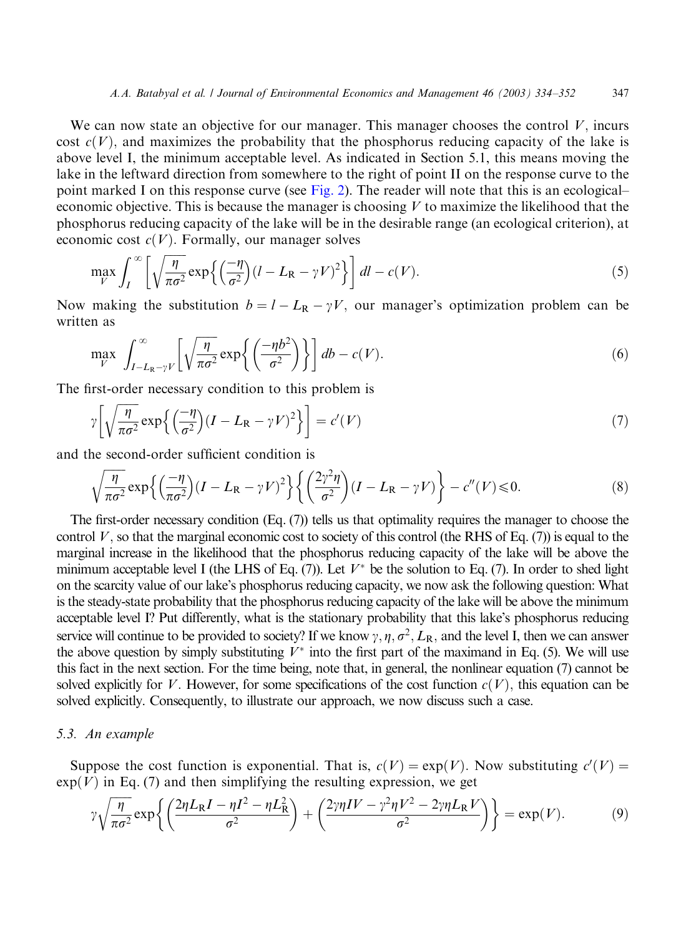We can now state an objective for our manager. This manager chooses the control  $V$ , incurs cost  $c(V)$ , and maximizes the probability [that t](#page-8-0)he phosphorus reducing capacity of the lake is above level I, the minimum acceptable level. As indicated in Section 5.1, this means moving the lake in the leftward direction from somewhere to the right of point II on the response curve to the point marked I on this response curve (see Fig. 2). The reader will note that this is an ecological– economic objective. This is because the manager is choosing  $V$  to maximize the likelihood that the phosphorus reducing capacity of the lake will be in the desirable range (an ecological criterion), at economic cost  $c(V)$ . Formally, our manager solves

$$
\max_{V} \int_{I}^{\infty} \left[ \sqrt{\frac{\eta}{\pi \sigma^2}} \exp\left\{ \left( \frac{-\eta}{\sigma^2} \right) (l - L_{\mathbb{R}} - \gamma V)^2 \right\} \right] dl - c(V). \tag{5}
$$

Now making the substitution  $b = l - L_R - \gamma V$ , our manager's optimization problem can be written as

$$
\max_{V} \int_{I-L_{\mathcal{R}}-\gamma V}^{\infty} \left[ \sqrt{\frac{\eta}{\pi \sigma^2}} \exp\left\{ \left( \frac{-\eta b^2}{\sigma^2} \right) \right\} \right] db - c(V). \tag{6}
$$

The first-order necessary condition to this problem is

$$
\gamma \left[ \sqrt{\frac{\eta}{\pi \sigma^2}} \exp \left\{ \left( \frac{-\eta}{\sigma^2} \right) (I - L_{\rm R} - \gamma V)^2 \right\} \right] = c'(V) \tag{7}
$$

and the second-order sufficient condition is

$$
\sqrt{\frac{\eta}{\pi\sigma^2}}\exp\left\{\left(\frac{-\eta}{\pi\sigma^2}\right)(I - L_{\mathbb{R}} - \gamma V)^2\right\}\left\{\left(\frac{2\gamma^2\eta}{\sigma^2}\right)(I - L_{\mathbb{R}} - \gamma V)\right\} - c''(V) \le 0.
$$
\n(8)

The first-order necessary condition (Eq. (7)) tells us that optimality requires the manager to choose the control  $V$ , so that the marginal economic cost to society of this control (the RHS of Eq. (7)) is equal to the marginal increase in the likelihood that the phosphorus reducing capacity of the lake will be above the minimum acceptable level I (the LHS of Eq. (7)). Let  $V^*$  be the solution to Eq. (7). In order to shed light on the scarcity value of our lake's phosphorus reducing capacity, we now ask the following question: What is the steady-state probability that the phosphorus reducing capacity of the lake will be above the minimum acceptable level I? Put differently, what is the stationary probability that this lake's phosphorus reducing service will continue to be provided to society? If we know  $\gamma$ ,  $\eta$ ,  $\sigma^2$ ,  $L_R$ , and the level I, then we can answer the above question by simply substituting  $V^*$  into the first part of the maximand in Eq. (5). We will use this fact in the next section. For the time being, note that, in general, the nonlinear equation (7) cannot be solved explicitly for V. However, for some specifications of the cost function  $c(V)$ , this equation can be solved explicitly. Consequently, to illustrate our approach, we now discuss such a case.

## 5.3. An example

Suppose the cost function is exponential. That is,  $c(V) = \exp(V)$ . Now substituting  $c'(V) =$  $exp(V)$  in Eq. (7) and then simplifying the resulting expression, we get

$$
\gamma \sqrt{\frac{\eta}{\pi \sigma^2}} \exp \left\{ \left( \frac{2\eta L_R I - \eta I^2 - \eta L_R^2}{\sigma^2} \right) + \left( \frac{2\eta \eta IV - \gamma^2 \eta V^2 - 2\eta L_R V}{\sigma^2} \right) \right\} = \exp(V). \tag{9}
$$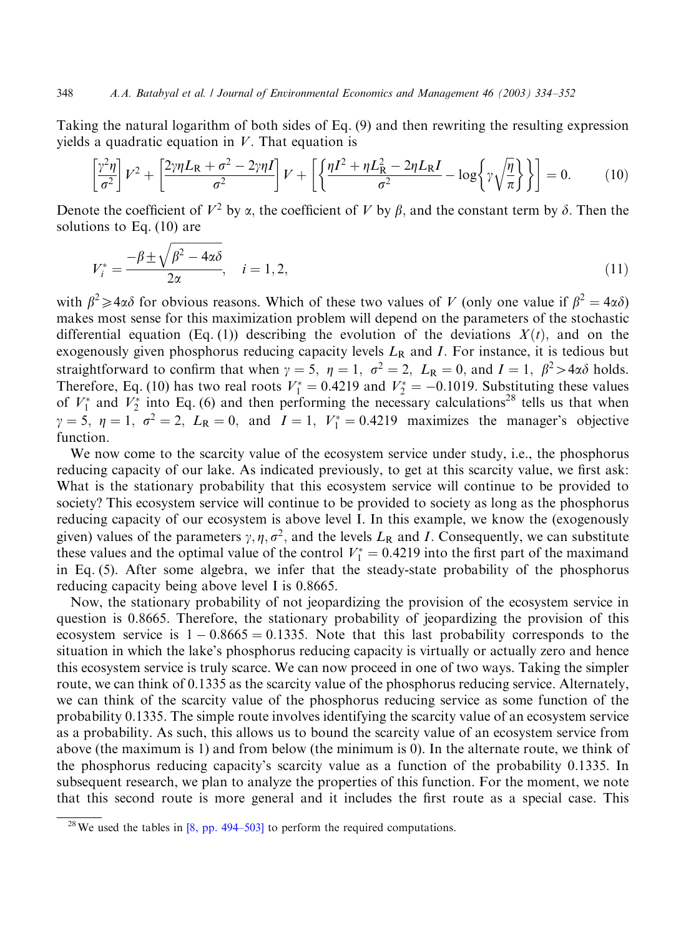Taking the natural logarithm of both sides of Eq. (9) and then rewriting the resulting expression yields a quadratic equation in  $V$ . That equation is

$$
\left[\frac{\gamma^2 \eta}{\sigma^2}\right] V^2 + \left[\frac{2\gamma \eta L_{\rm R} + \sigma^2 - 2\gamma \eta I}{\sigma^2}\right] V + \left[\left\{\frac{\eta I^2 + \eta L_{\rm R}^2 - 2\eta L_{\rm R}I}{\sigma^2} - \log\left\{\gamma \sqrt{\frac{\eta}{\pi}}\right\}\right\}\right] = 0. \tag{10}
$$

Denote the coefficient of  $V^2$  by  $\alpha$ , the coefficient of V by  $\beta$ , and the constant term by  $\delta$ . Then the solutions to Eq. (10) are

$$
V_i^* = \frac{-\beta \pm \sqrt{\beta^2 - 4\alpha \delta}}{2\alpha}, \quad i = 1, 2,
$$
\n(11)

with  $\beta^2 \ge 4\alpha\delta$  for obvious reasons. Which of these two values of V (only one value if  $\beta^2 = 4\alpha\delta$ ) makes most sense for this maximization problem will depend on the parameters of the stochastic differential equation (Eq. (1)) describing the evolution of the deviations  $X(t)$ , and on the exogenously given phosphorus reducing capacity levels  $L_R$  and  $I$ . For instance, it is tedious but straightforward to confirm that when  $\gamma = 5$ ,  $\eta = 1$ ,  $\sigma^2 = 2$ ,  $L_R = 0$ , and  $I = 1$ ,  $\beta^2 > 4\alpha\delta$  holds. Therefore, Eq. (10) has two real roots  $V_1^* = 0.4219$  and  $V_2^* = -0.1019$ . Substituting these values of  $V_1^*$  and  $V_2^*$  into Eq. (6) and then performing the necessary calculations<sup>28</sup> tells us that when  $\gamma = 5$ ,  $\eta = 1$ ,  $\sigma^2 = 2$ ,  $L_R = 0$ , and  $I = 1$ ,  $V_1^* = 0.4219$  maximizes the manager's objective function.

We now come to the scarcity value of the ecosystem service under study, i.e., the phosphorus reducing capacity of our lake. As indicated previously, to get at this scarcity value, we first ask: What is the stationary probability that this ecosystem service will continue to be provided to society? This ecosystem service will continue to be provided to society as long as the phosphorus reducing capacity of our ecosystem is above level I. In this example, we know the (exogenously given) values of the parameters  $\gamma$ ,  $\eta$ ,  $\sigma^2$ , and the levels  $L_R$  and I. Consequently, we can substitute these values and the optimal value of the control  $V_1^* = 0.4219$  into the first part of the maximand in Eq. (5). After some algebra, we infer that the steady-state probability of the phosphorus reducing capacity being above level I is 0.8665.

Now, the stationary probability of not jeopardizing the provision of the ecosystem service in question is 0.8665. Therefore, the stationary probability of jeopardizing the provision of this ecosystem service is  $1 - 0.8665 = 0.1335$ . Note that this last probability corresponds to the situation in which the lake's phosphorus reducing capacity is virtually or actually zero and hence this ecosystem service is truly scarce. We can now proceed in one of two ways. Taking the simpler route, we can think of 0.1335 as the scarcity value of the phosphorus reducing service. Alternately, we can think of the scarcity value of the phosphorus reducing service as some function of the probability 0.1335. The simple route involves identifying the scarcity value of an ecosystem service as a probability. As such, this allows us to bound the scarcity value of an ecosystem service from above (the maximum is 1) and from below (the minimum is 0). In the alternate route, we think of the phosphorus reducing capacity's scarcity value as a function of the probability 0.1335. In subsequent research, [we plan to ana](#page-16-0)lyze the properties of this function. For the moment, we note that this second route is more general and it includes the first route as a special case. This

<sup>&</sup>lt;sup>28</sup>We used the tables in  $[8, pp. 494–503]$  to perform the required computations.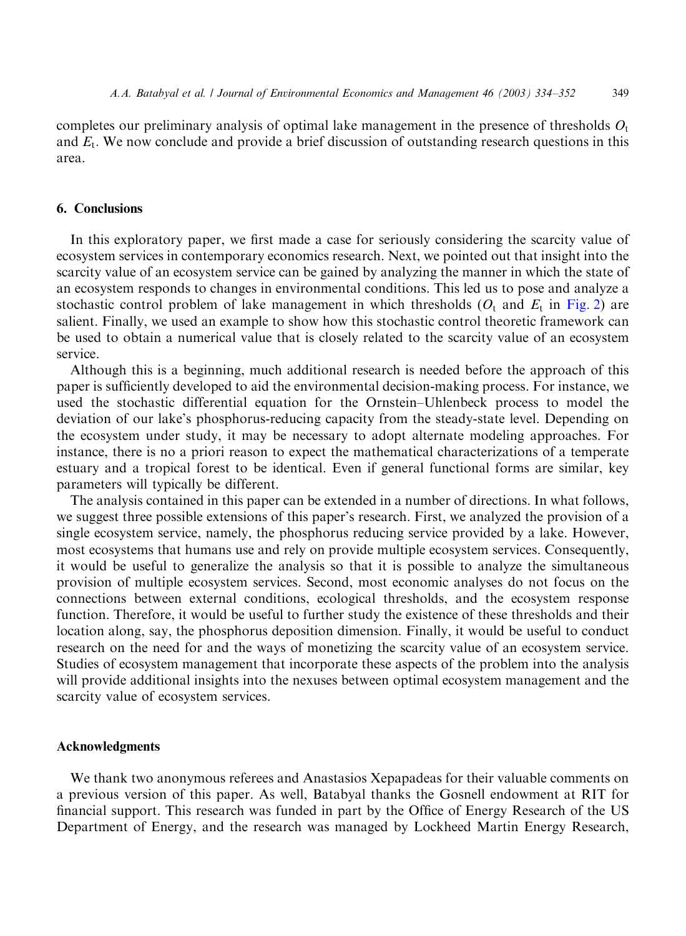completes our preliminary analysis of optimal lake management in the presence of thresholds  $O<sub>t</sub>$ and  $E_t$ . We now conclude and provide a brief discussion of outstanding research questions in this area.

## 6. Conclusions

In this exploratory paper, we first made a case for seriously considering the scarcity value of ecosystem services in contemporary economics research. Next, we pointed out that insi[ght int](#page-8-0)o the scarcity value of an ecosystem service can be gained by analyzing the manner in which the state of an ecosystem responds to changes in environmental conditions. This led us to pose and analyze a stochastic control problem of lake management in which thresholds ( $O_t$  and  $E_t$  in Fig. 2) are salient. Finally, we used an example to show how this stochastic control theoretic framework can be used to obtain a numerical value that is closely related to the scarcity value of an ecosystem service.

Although this is a beginning, much additional research is needed before the approach of this paper is sufficiently developed to aid the environmental decision-making process. For instance, we used the stochastic differential equation for the Ornstein–Uhlenbeck process to model the deviation of our lake's phosphorus-reducing capacity from the steady-state level. Depending on the ecosystem under study, it may be necessary to adopt alternate modeling approaches. For instance, there is no a priori reason to expect the mathematical characterizations of a temperate estuary and a tropical forest to be identical. Even if general functional forms are similar, key parameters will typically be different.

The analysis contained in this paper can be extended in a number of directions. In what follows, we suggest three possible extensions of this paper's research. First, we analyzed the provision of a single ecosystem service, namely, the phosphorus reducing service provided by a lake. However, most ecosystems that humans use and rely on provide multiple ecosystem services. Consequently, it would be useful to generalize the analysis so that it is possible to analyze the simultaneous provision of multiple ecosystem services. Second, most economic analyses do not focus on the connections between external conditions, ecological thresholds, and the ecosystem response function. Therefore, it would be useful to further study the existence of these thresholds and their location along, say, the phosphorus deposition dimension. Finally, it would be useful to conduct research on the need for and the ways of monetizing the scarcity value of an ecosystem service. Studies of ecosystem management that incorporate these aspects of the problem into the analysis will provide additional insights into the nexuses between optimal ecosystem management and the scarcity value of ecosystem services.

# Acknowledgments

We thank two anonymous referees and Anastasios Xepapadeas for their valuable comments on a previous version of this paper. As well, Batabyal thanks the Gosnell endowment at RIT for financial support. This research was funded in part by the Office of Energy Research of the US Department of Energy, and the research was managed by Lockheed Martin Energy Research,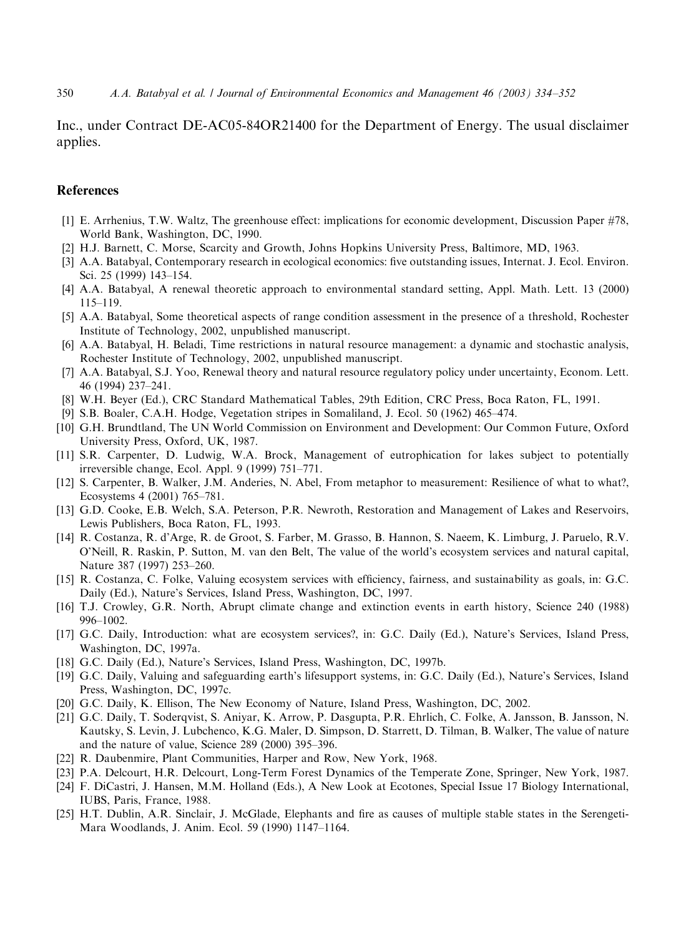<span id="page-16-0"></span>Inc., under Contract DE-AC05-84OR21400 for the Department of Energy. The usual disclaimer applies.

#### References

- [1] E. Arrhenius, T.W. Waltz, The greenhouse effect: implications for economic development, Discussion Paper #78, World Bank, Washington, DC, 1990.
- [2] H.J. Barnett, C. Morse, Scarcity and Growth, Johns Hopkins University Press, Baltimore, MD, 1963.
- [3] A.A. Batabyal, Contemporary research in ecological economics: five outstanding issues, Internat. J. Ecol. Environ. Sci. 25 (1999) 143–154.
- [4] A.A. Batabyal, A renewal theoretic approach to environmental standard setting, Appl. Math. Lett. 13 (2000) 115–119.
- [5] A.A. Batabyal, Some theoretical aspects of range condition assessment in the presence of a threshold, Rochester Institute of Technology, 2002, unpublished manuscript.
- [6] A.A. Batabyal, H. Beladi, Time restrictions in natural resource management: a dynamic and stochastic analysis, Rochester Institute of Technology, 2002, unpublished manuscript.
- [7] A.A. Batabyal, S.J. Yoo, Renewal theory and natural resource regulatory policy under uncertainty, Econom. Lett. 46 (1994) 237–241.
- [8] W.H. Beyer (Ed.), CRC Standard Mathematical Tables, 29th Edition, CRC Press, Boca Raton, FL, 1991.
- [9] S.B. Boaler, C.A.H. Hodge, Vegetation stripes in Somaliland, J. Ecol. 50 (1962) 465–474.
- [10] G.H. Brundtland, The UN World Commission on Environment and Development: Our Common Future, Oxford University Press, Oxford, UK, 1987.
- [11] S.R. Carpenter, D. Ludwig, W.A. Brock, Management of eutrophication for lakes subject to potentially irreversible change, Ecol. Appl. 9 (1999) 751–771.
- [12] S. Carpenter, B. Walker, J.M. Anderies, N. Abel, From metaphor to measurement: Resilience of what to what?, Ecosystems 4 (2001) 765–781.
- [13] G.D. Cooke, E.B. Welch, S.A. Peterson, P.R. Newroth, Restoration and Management of Lakes and Reservoirs, Lewis Publishers, Boca Raton, FL, 1993.
- [14] R. Costanza, R. d'Arge, R. de Groot, S. Farber, M. Grasso, B. Hannon, S. Naeem, K. Limburg, J. Paruelo, R.V. O'Neill, R. Raskin, P. Sutton, M. van den Belt, The value of the world's ecosystem services and natural capital, Nature 387 (1997) 253–260.
- [15] R. Costanza, C. Folke, Valuing ecosystem services with efficiency, fairness, and sustainability as goals, in: G.C. Daily (Ed.), Nature's Services, Island Press, Washington, DC, 1997.
- [16] T.J. Crowley, G.R. North, Abrupt climate change and extinction events in earth history, Science 240 (1988) 996–1002.
- [17] G.C. Daily, Introduction: what are ecosystem services?, in: G.C. Daily (Ed.), Nature's Services, Island Press, Washington, DC, 1997a.
- [18] G.C. Daily (Ed.), Nature's Services, Island Press, Washington, DC, 1997b.
- [19] G.C. Daily, Valuing and safeguarding earth's lifesupport systems, in: G.C. Daily (Ed.), Nature's Services, Island Press, Washington, DC, 1997c.
- [20] G.C. Daily, K. Ellison, The New Economy of Nature, Island Press, Washington, DC, 2002.
- [21] G.C. Daily, T. Soderqvist, S. Aniyar, K. Arrow, P. Dasgupta, P.R. Ehrlich, C. Folke, A. Jansson, B. Jansson, N. Kautsky, S. Levin, J. Lubchenco, K.G. Maler, D. Simpson, D. Starrett, D. Tilman, B. Walker, The value of nature and the nature of value, Science 289 (2000) 395–396.
- [22] R. Daubenmire, Plant Communities, Harper and Row, New York, 1968.
- [23] P.A. Delcourt, H.R. Delcourt, Long-Term Forest Dynamics of the Temperate Zone, Springer, New York, 1987.
- [24] F. DiCastri, J. Hansen, M.M. Holland (Eds.), ANew Look at Ecotones, Special Issue 17 Biology International, IUBS, Paris, France, 1988.
- [25] H.T. Dublin, A.R. Sinclair, J. McGlade, Elephants and fire as causes of multiple stable states in the Serengeti-Mara Woodlands, J. Anim. Ecol. 59 (1990) 1147–1164.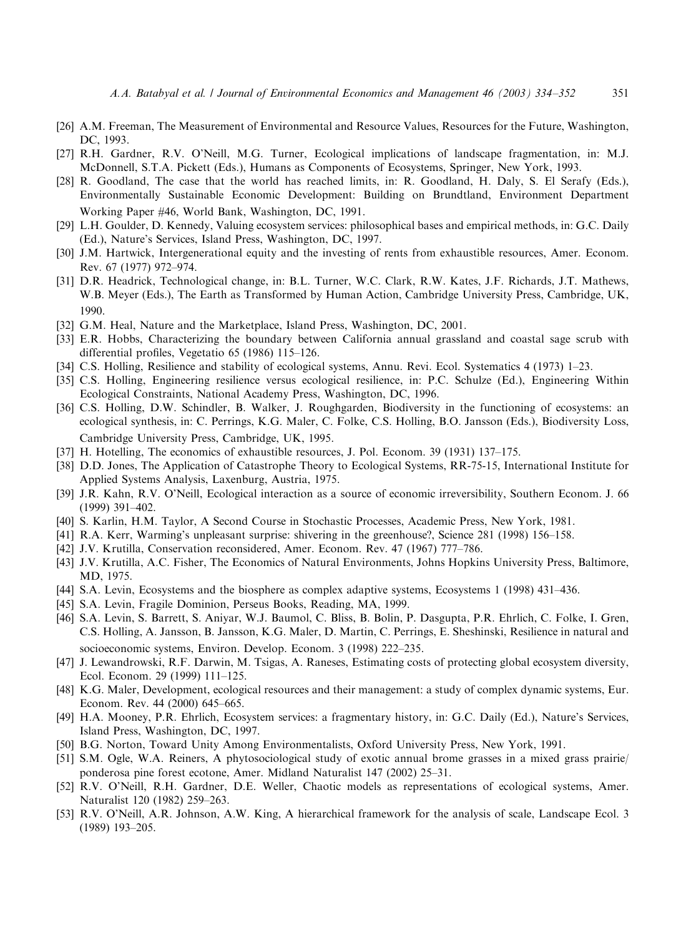- <span id="page-17-0"></span>[26] A.M. Freeman, The Measurement of Environmental and Resource Values, Resources for the Future, Washington, DC, 1993.
- [27] R.H. Gardner, R.V. O'Neill, M.G. Turner, Ecological implications of landscape fragmentation, in: M.J. McDonnell, S.T.A. Pickett (Eds.), Humans as Components of Ecosystems, Springer, New York, 1993.
- [28] R. Goodland, The case that the world has reached limits, in: R. Goodland, H. Daly, S. El Serafy (Eds.), Environmentally Sustainable Economic Development: Building on Brundtland, Environment Department Working Paper #46, World Bank, Washington, DC, 1991.
- [29] L.H. Goulder, D. Kennedy, Valuing ecosystem services: philosophical bases and empirical methods, in: G.C. Daily (Ed.), Nature's Services, Island Press, Washington, DC, 1997.
- [30] J.M. Hartwick, Intergenerational equity and the investing of rents from exhaustible resources, Amer. Econom. Rev. 67 (1977) 972–974.
- [31] D.R. Headrick, Technological change, in: B.L. Turner, W.C. Clark, R.W. Kates, J.F. Richards, J.T. Mathews, W.B. Meyer (Eds.), The Earth as Transformed by Human Action, Cambridge University Press, Cambridge, UK, 1990.
- [32] G.M. Heal, Nature and the Marketplace, Island Press, Washington, DC, 2001.
- [33] E.R. Hobbs, Characterizing the boundary between California annual grassland and coastal sage scrub with differential profiles, Vegetatio 65 (1986) 115–126.
- [34] C.S. Holling, Resilience and stability of ecological systems, Annu. Revi. Ecol. Systematics 4 (1973) 1–23.
- [35] C.S. Holling, Engineering resilience versus ecological resilience, in: P.C. Schulze (Ed.), Engineering Within Ecological Constraints, National Academy Press, Washington, DC, 1996.
- [36] C.S. Holling, D.W. Schindler, B. Walker, J. Roughgarden, Biodiversity in the functioning of ecosystems: an ecological synthesis, in: C. Perrings, K.G. Maler, C. Folke, C.S. Holling, B.O. Jansson (Eds.), Biodiversity Loss, Cambridge University Press, Cambridge, UK, 1995.
- [37] H. Hotelling, The economics of exhaustible resources, J. Pol. Econom. 39 (1931) 137–175.
- [38] D.D. Jones, The Application of Catastrophe Theory to Ecological Systems, RR-75-15, International Institute for Applied Systems Analysis, Laxenburg, Austria, 1975.
- [39] J.R. Kahn, R.V. O'Neill, Ecological interaction as a source of economic irreversibility, Southern Econom. J. 66 (1999) 391–402.
- [40] S. Karlin, H.M. Taylor, A Second Course in Stochastic Processes, Academic Press, New York, 1981.
- [41] R.A. Kerr, Warming's unpleasant surprise: shivering in the greenhouse?, Science 281 (1998) 156–158.
- [42] J.V. Krutilla, Conservation reconsidered, Amer. Econom. Rev. 47 (1967) 777–786.
- [43] J.V. Krutilla, A.C. Fisher, The Economics of Natural Environments, Johns Hopkins University Press, Baltimore, MD, 1975.
- [44] S.A. Levin, Ecosystems and the biosphere as complex adaptive systems, Ecosystems 1 (1998) 431–436.
- [45] S.A. Levin, Fragile Dominion, Perseus Books, Reading, MA, 1999.
- [46] S.A. Levin, S. Barrett, S. Aniyar, W.J. Baumol, C. Bliss, B. Bolin, P. Dasgupta, P.R. Ehrlich, C. Folke, I. Gren, C.S. Holling, A. Jansson, B. Jansson, K.G. Maler, D. Martin, C. Perrings, E. Sheshinski, Resilience in natural and socioeconomic systems, Environ. Develop. Econom. 3 (1998) 222–235.
- [47] J. Lewandrowski, R.F. Darwin, M. Tsigas, A. Raneses, Estimating costs of protecting global ecosystem diversity, Ecol. Econom. 29 (1999) 111–125.
- [48] K.G. Maler, Development, ecological resources and their management: a study of complex dynamic systems, Eur. Econom. Rev. 44 (2000) 645–665.
- [49] H.A. Mooney, P.R. Ehrlich, Ecosystem services: a fragmentary history, in: G.C. Daily (Ed.), Nature's Services, Island Press, Washington, DC, 1997.
- [50] B.G. Norton, Toward Unity Among Environmentalists, Oxford University Press, New York, 1991.
- [51] S.M. Ogle, W.A. Reiners, A phytosociological study of exotic annual brome grasses in a mixed grass prairie/ ponderosa pine forest ecotone, Amer. Midland Naturalist 147 (2002) 25–31.
- [52] R.V. O'Neill, R.H. Gardner, D.E. Weller, Chaotic models as representations of ecological systems, Amer. Naturalist 120 (1982) 259–263.
- [53] R.V. O'Neill, A.R. Johnson, A.W. King, A hierarchical framework for the analysis of scale, Landscape Ecol. 3 (1989) 193–205.